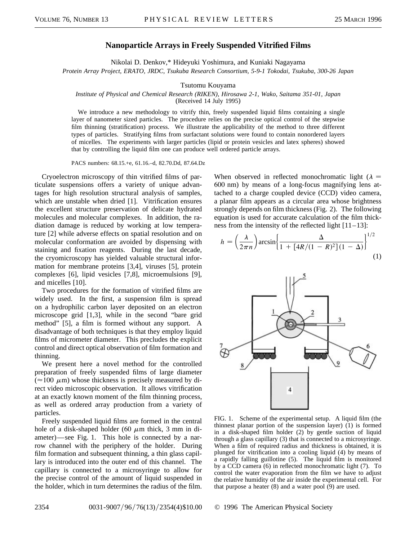## **Nanoparticle Arrays in Freely Suspended Vitrified Films**

Nikolai D. Denkov,\* Hideyuki Yoshimura, and Kuniaki Nagayama *Protein Array Project, ERATO, JRDC, Tsukuba Research Consortium, 5-9-1 Tokodai, Tsukuba, 300-26 Japan*

Tsutomu Kouyama

## *Institute of Physical and Chemical Research (RIKEN), Hirosawa 2-1, Wako, Saitama 351-01, Japan*

(Received 14 July 1995)

We introduce a new methodology to vitrify thin, freely suspended liquid films containing a single layer of nanometer sized particles. The procedure relies on the precise optical control of the stepwise film thinning (stratification) process. We illustrate the applicability of the method to three different types of particles. Stratifying films from surfactant solutions were found to contain nonordered layers of micelles. The experiments with larger particles (lipid or protein vesicles and latex spheres) showed that by controlling the liquid film one can produce well ordered particle arrays.

PACS numbers: 68.15.+e, 61.16.–d, 82.70.Dd, 87.64.Dz

Cryoelectron microscopy of thin vitrified films of particulate suspensions offers a variety of unique advantages for high resolution structural analysis of samples, which are unstable when dried [1]. Vitrification ensures the excellent structure preservation of delicate hydrated molecules and molecular complexes. In addition, the radiation damage is reduced by working at low temperature [2] while adverse effects on spatial resolution and on molecular conformation are avoided by dispensing with staining and fixation reagents. During the last decade, the cryomicroscopy has yielded valuable structural information for membrane proteins [3,4], viruses [5], protein complexes [6], lipid vesicles [7,8], microemulsions [9], and micelles [10].

Two procedures for the formation of vitrified films are widely used. In the first, a suspension film is spread on a hydrophilic carbon layer deposited on an electron microscope grid [1,3], while in the second "bare grid method" [5], a film is formed without any support. A disadvantage of both techniques is that they employ liquid films of micrometer diameter. This precludes the explicit control and direct optical observation of film formation and thinning.

We present here a novel method for the controlled preparation of freely suspended films of large diameter  $(\approx 100 \mu m)$  whose thickness is precisely measured by direct video microscopic observation. It allows vitrification at an exactly known moment of the film thinning process, as well as ordered array production from a variety of particles.

Freely suspended liquid films are formed in the central hole of a disk-shaped holder (60  $\mu$ m thick, 3 mm in diameter)—see Fig. 1. This hole is connected by a narrow channel with the periphery of the holder. During film formation and subsequent thinning, a thin glass capillary is introduced into the outer end of this channel. The capillary is connected to a microsyringe to allow for the precise control of the amount of liquid suspended in the holder, which in turn determines the radius of the film.

When observed in reflected monochromatic light ( $\lambda$  = 600 nm) by means of a long-focus magnifying lens attached to a charge coupled device (CCD) video camera, a planar film appears as a circular area whose brightness strongly depends on film thickness (Fig. 2). The following equation is used for accurate calculation of the film thickness from the intensity of the reflected light  $[11-13]$ :

$$
h = \left(\frac{\lambda}{2\pi n}\right) \arcsin\left\{\frac{\Delta}{1 + \left[4R/(1 - R)^2\right](1 - \Delta)}\right\}^{1/2}
$$
\n(1)



FIG. 1. Scheme of the experimental setup. A liquid film (the thinnest planar portion of the suspension layer) (1) is formed in a disk-shaped film holder (2) by gentle suction of liquid through a glass capillary (3) that is connected to a microsyringe. When a film of required radius and thickness is obtained, it is plunged for vitrification into a cooling liquid (4) by means of a rapidly falling guillotine (5). The liquid film is monitored by a CCD camera (6) in reflected monochromatic light (7). To control the water evaporation from the film we have to adjust the relative humidity of the air inside the experimental cell. For that purpose a heater (8) and a water pool (9) are used.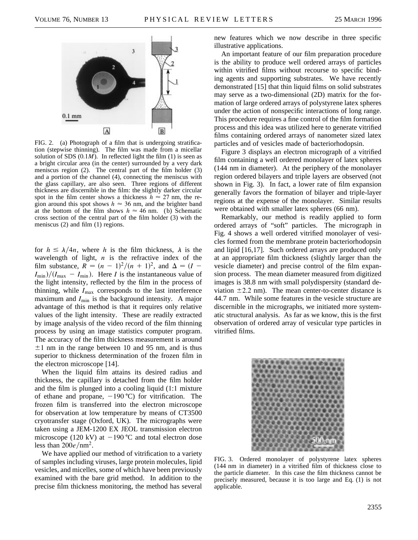

FIG. 2. (a) Photograph of a film that is undergoing stratification (stepwise thinning). The film was made from a micellar solution of SDS  $(0.1M)$ . In reflected light the film  $(1)$  is seen as a bright circular area (in the center) surrounded by a very dark meniscus region (2). The central part of the film holder (3) and a portion of the channel (4), connecting the meniscus with the glass capillary, are also seen. Three regions of different thickness are discernible in the film: the slightly darker circular spot in the film center shows a thickness  $h \approx 27$  nm, the region around this spot shows  $h \approx 36$  nm, and the brighter band at the bottom of the film shows  $h \approx 46$  nm. (b) Schematic cross section of the central part of the film holder (3) with the meniscus (2) and film (1) regions.

for  $h \leq \lambda/4n$ , where *h* is the film thickness,  $\lambda$  is the wavelength of light,  $n$  is the refractive index of the film substance,  $R = (n - 1)^2/(n + 1)^2$ , and  $\Delta = (I I_{\min}$ / $(I_{\max} - I_{\min})$ . Here *I* is the instantaneous value of the light intensity, reflected by the film in the process of thinning, while  $I_{\text{max}}$  corresponds to the last interference maximum and  $I_{\text{min}}$  is the background intensity. A major advantage of this method is that it requires only relative values of the light intensity. These are readily extracted by image analysis of the video record of the film thinning process by using an image statistics computer program. The accuracy of the film thickness measurement is around  $\pm 1$  nm in the range between 10 and 95 nm, and is thus superior to thickness determination of the frozen film in the electron microscope [14].

When the liquid film attains its desired radius and thickness, the capillary is detached from the film holder and the film is plunged into a cooling liquid (1:1 mixture of ethane and propane,  $-190 \degree C$ ) for vitrification. The frozen film is transferred into the electron microscope for observation at low temperature by means of CT3500 cryotransfer stage (Oxford, UK). The micrographs were taken using a JEM-1200 EX JEOL transmission electron microscope (120 kV) at  $-190 \degree C$  and total electron dose less than  $200e/nm^2$ .

We have applied our method of vitrification to a variety of samples including viruses, large protein molecules, lipid vesicles, and micelles, some of which have been previously examined with the bare grid method. In addition to the precise film thickness monitoring, the method has several

new features which we now describe in three specific illustrative applications.

An important feature of our film preparation procedure is the ability to produce well ordered arrays of particles within vitrified films without recourse to specific binding agents and supporting substrates. We have recently demonstrated [15] that thin liquid films on solid substrates may serve as a two-dimensional (2D) matrix for the formation of large ordered arrays of polystyrene latex spheres under the action of nonspecific interactions of long range. This procedure requires a fine control of the film formation process and this idea was utilized here to generate vitrified films containing ordered arrays of nanometer sized latex particles and of vesicles made of bacteriorhodopsin.

Figure 3 displays an electron micrograph of a vitrified film containing a well ordered monolayer of latex spheres (144 nm in diameter). At the periphery of the monolayer region ordered bilayers and triple layers are observed (not shown in Fig. 3). In fact, a lower rate of film expansion generally favors the formation of bilayer and triple-layer regions at the expense of the monolayer. Similar results were obtained with smaller latex spheres (66 nm).

Remarkably, our method is readily applied to form ordered arrays of "soft" particles. The micrograph in Fig. 4 shows a well ordered vitrified monolayer of vesicles formed from the membrane protein bacteriorhodopsin and lipid [16,17]. Such ordered arrays are produced only at an appropriate film thickness (slightly larger than the vesicle diameter) and precise control of the film expansion process. The mean diameter measured from digitized images is 38.8 nm with small polydispersity (standard deviation  $\pm$  2.2 nm). The mean center-to-center distance is 44.7 nm. While some features in the vesicle structure are discernible in the micrographs, we initiated more systematic structural analysis. As far as we know, this is the first observation of ordered array of vesicular type particles in vitrified films.



FIG. 3. Ordered monolayer of polystyrene latex spheres (144 nm in diameter) in a vitrified film of thickness close to the particle diameter. In this case the film thickness cannot be precisely measured, because it is too large and Eq. (1) is not applicable.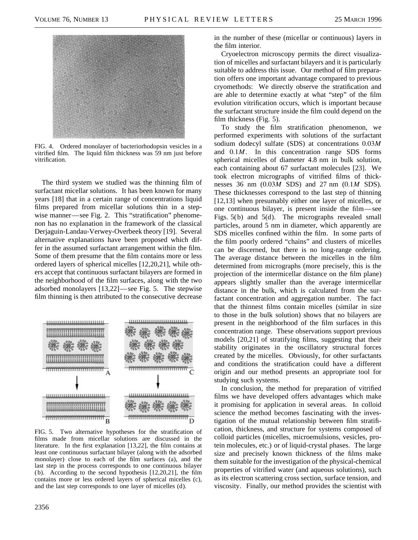

FIG. 4. Ordered monolayer of bacteriorhodopsin vesicles in a vitrified film. The liquid film thickness was 59 nm just before vitrification.

The third system we studied was the thinning film of surfactant micellar solutions. It has been known for many years [18] that in a certain range of concentrations liquid films prepared from micellar solutions thin in a stepwise manner—see Fig. 2. This "stratification" phenomenon has no explanation in the framework of the classical Derjaguin-Landau-Verwey-Overbeek theory [19]. Several alternative explanations have been proposed which differ in the assumed surfactant arrangement within the film. Some of them presume that the film contains more or less ordered layers of spherical micelles [12,20,21], while others accept that continuous surfactant bilayers are formed in the neighborhood of the film surfaces, along with the two adsorbed monolayers [13,22]—see Fig. 5. The stepwise film thinning is then attributed to the consecutive decrease



FIG. 5. Two alternative hypotheses for the stratification of films made from micellar solutions are discussed in the literature. In the first explanation [13,22], the film contains at least one continuous surfactant bilayer (along with the adsorbed monolayer) close to each of the film surfaces (a), and the last step in the process corresponds to one continuous bilayer (b). According to the second hypothesis  $[12,20,21]$ , the film contains more or less ordered layers of spherical micelles (c), and the last step corresponds to one layer of micelles (d).

in the number of these (micellar or continuous) layers in the film interior.

Cryoelectron microscopy permits the direct visualization of micelles and surfactant bilayers and it is particularly suitable to address this issue. Our method of film preparation offers one important advantage compared to previous cryomethods: We directly observe the stratification and are able to determine exactly at what "step" of the film evolution vitrification occurs, which is important because the surfactant structure inside the film could depend on the film thickness (Fig. 5).

To study the film stratification phenomenon, we performed experiments with solutions of the surfactant sodium dodecyl sulfate (SDS) at concentrations 0.03*M* and 0.1*M*. In this concentration range SDS forms spherical micelles of diameter 4.8 nm in bulk solution, each containing about 67 surfactant molecules [23]. We took electron micrographs of vitrified films of thicknesses 36 nm (0.03*M* SDS) and 27 nm (0.1*M* SDS). These thicknesses correspond to the last step of thinning [12,13] when presumably either one layer of micelles, or one continuous bilayer, is present inside the film—see Figs. 5(b) and 5(d). The micrographs revealed small particles, around 5 nm in diameter, which apparently are SDS micelles confined within the film. In some parts of the film poorly ordered "chains" and clusters of micelles can be discerned, but there is no long-range ordering. The average distance between the micelles in the film determined from micrographs (more precisely, this is the projection of the intermicellar distance on the film plane) appears slightly smaller than the average intermicellar distance in the bulk, which is calculated from the surfactant concentration and aggregation number. The fact that the thinnest films contain micelles (similar in size to those in the bulk solution) shows that no bilayers are present in the neighborhood of the film surfaces in this concentration range. These observations support previous models [20,21] of stratifying films, suggesting that their stability originates in the oscillatory structural forces created by the micelles. Obviously, for other surfactants and conditions the stratification could have a different origin and our method presents an appropriate tool for studying such systems.

In conclusion, the method for preparation of vitrified films we have developed offers advantages which make it promising for application in several areas. In colloid science the method becomes fascinating with the investigation of the mutual relationship between film stratification, thickness, and structure for systems composed of colloid particles (micelles, microemulsions, vesicles, protein molecules, etc.) or of liquid-crystal phases. The large size and precisely known thickness of the films make them suitable for the investigation of the physical-chemical properties of vitrified water (and aqueous solutions), such as its electron scattering cross section, surface tension, and viscosity. Finally, our method provides the scientist with